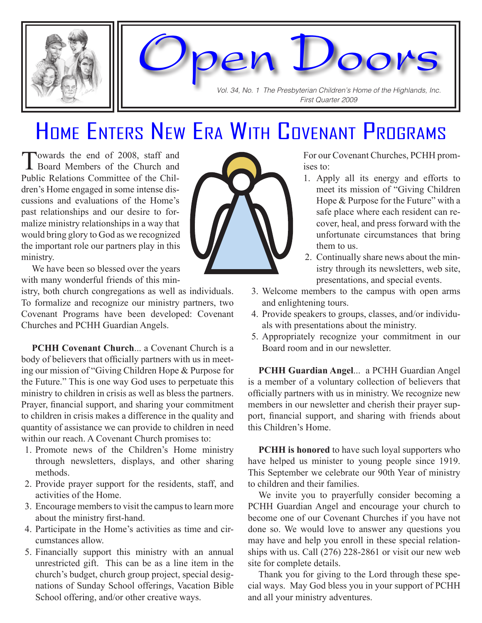

Vol. 34, No. 1 The Presbyterian Children's Home of the Highlands, Inc. First Quarter 2009

Open Doors

## Home Enters New Era With Covenant Programs

Towards the end of 2008, staff and **L** Board Members of the Church and Public Relations Committee of the Children's Home engaged in some intense discussions and evaluations of the Home's past relationships and our desire to formalize ministry relationships in a way that would bring glory to God as we recognized the important role our partners play in this ministry.

We have been so blessed over the years with many wonderful friends of this min-

istry, both church congregations as well as individuals. To formalize and recognize our ministry partners, two Covenant Programs have been developed: Covenant Churches and PCHH Guardian Angels.

**PCHH Covenant Church... a Covenant Church is a** body of believers that officially partners with us in meeting our mission of "Giving Children Hope & Purpose for the Future." This is one way God uses to perpetuate this ministry to children in crisis as well as bless the partners. Prayer, financial support, and sharing your commitment to children in crisis makes a difference in the quality and quantity of assistance we can provide to children in need within our reach. A Covenant Church promises to:

- 1. Promote news of the Children's Home ministry through newsletters, displays, and other sharing methods.
- 2. Provide prayer support for the residents, staff, and activities of the Home.
- 3. Encourage members to visit the campus to learn more about the ministry first-hand.
- 4. Participate in the Home's activities as time and circumstances allow.
- 5. Financially support this ministry with an annual unrestricted gift. This can be as a line item in the church's budget, church group project, special designations of Sunday School offerings, Vacation Bible School offering, and/or other creative ways.



For our Covenant Churches, PCHH promises to:

- 1. Apply all its energy and efforts to meet its mission of "Giving Children Hope & Purpose for the Future" with a safe place where each resident can recover, heal, and press forward with the unfortunate circumstances that bring them to us.
- 2. Continually share news about the ministry through its newsletters, web site, presentations, and special events.
- 3. Welcome members to the campus with open arms and enlightening tours.
- 4. Provide speakers to groups, classes, and/or individuals with presentations about the ministry.
- 5. Appropriately recognize your commitment in our Board room and in our newsletter.

**PCHH Guardian Angel**... a PCHH Guardian Angel is a member of a voluntary collection of believers that officially partners with us in ministry. We recognize new members in our newsletter and cherish their prayer support, financial support, and sharing with friends about this Children's Home.

**PCHH is honored** to have such loyal supporters who have helped us minister to young people since 1919. This September we celebrate our 90th Year of ministry to children and their families.

We invite you to prayerfully consider becoming a PCHH Guardian Angel and encourage your church to become one of our Covenant Churches if you have not done so. We would love to answer any questions you may have and help you enroll in these special relationships with us. Call (276) 228-2861 or visit our new web site for complete details.

Thank you for giving to the Lord through these special ways. May God bless you in your support of PCHH and all your ministry adventures.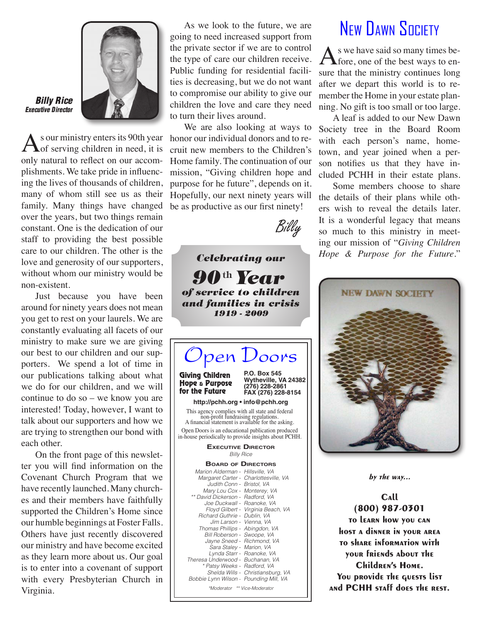

#### Billy Rice Executive Director

As our ministry enters its 90th year honor our individual donors and to re-<br>
of serving children in need, it is cruit new members to the Children's of serving children in need, it is only natural to reflect on our accomplishments. We take pride in influencing the lives of thousands of children, many of whom still see us as their family. Many things have changed over the years, but two things remain constant. One is the dedication of our staff to providing the best possible care to our children. The other is the love and generosity of our supporters, without whom our ministry would be non-existent.

Just because you have been around for ninety years does not mean you get to rest on your laurels. We are constantly evaluating all facets of our ministry to make sure we are giving our best to our children and our supporters. We spend a lot of time in our publications talking about what we do for our children, and we will continue to do so – we know you are interested! Today, however, I want to talk about our supporters and how we are trying to strengthen our bond with each other.

On the front page of this newsletter you will find information on the Covenant Church Program that we have recently launched. Many churches and their members have faithfully supported the Children's Home since our humble beginnings at Foster Falls. Others have just recently discovered our ministry and have become excited as they learn more about us. Our goal is to enter into a covenant of support with every Presbyterian Church in Virginia.

As we look to the future, we are going to need increased support from the private sector if we are to control the type of care our children receive. Public funding for residential facilities is decreasing, but we do not want to compromise our ability to give our children the love and care they need to turn their lives around.

We are also looking at ways to cruit new members to the Children's Home family. The continuation of our mission, "Giving children hope and purpose for he future", depends on it. Hopefully, our next ninety years will be as productive as our first ninety!



P.O. Box 545 Wytheville, VA 24382 (276) 228-2861 FAX (276) 228-8154 pen Doors This agency complies with all state and federal non-profit fundraising regulations. A financial statement is available for the asking. Giving Children Hope & Purpose for the Future **BOARD OF DIRECTORS** http://pchh.org • info@pchh.org Open Doors is an educational publication produced in-house periodically to provide insights about PCHH. Billy Rice **EXECUTIVE DIRECTOR** Marion Alderman - Hillsville, VA Margaret Carter - Charlottesville, VA Judith Conn - Bristol, VA Mary Lou Cox - Monterey, VA \*\* David Dickerson - Radford, VA Joe Duckwall - Roanoke, VA Floyd Gilbert - Virginia Beach, VA Richard Guthrie - Dublin, VA Jim Larson - Vienna, VA Thomas Phillips - Abingdon, VA Bill Roberson - Swoope, VA Jayne Sneed - Richmond, VA Sara Staley - Marion, VA Lynda Starr - Roanoke, VA Theresa Underwood - Buchanan, VA \* Patsy Weeks - Radford, VA Shelda Wills - Christiansburg, VA Bobbie Lynn Wilson - Pounding Mill, VA Celebrating our  $90$ <sup>th</sup> Year of service to children and families in crisis 1919 - 2009

\*Moderator \*\* Vice-Moderator

## New DAWN SOCIETY

As we have said so many times be-<br>fore, one of the best ways to ensure that the ministry continues long after we depart this world is to remember the Home in your estate planning. No gift is too small or too large.

A leaf is added to our New Dawn Society tree in the Board Room with each person's name, hometown, and year joined when a person notifies us that they have included PCHH in their estate plans.

Some members choose to share the details of their plans while others wish to reveal the details later. It is a wonderful legacy that means so much to this ministry in meeting our mission of "*Giving Children Hope & Purpose for the Future*."



by the  $way...$ 

Call (800) 987-0301 to learn how you can host a dinner in your area to share information with your friends about the Children's Home. You provide the quests list and PCHH staff does the rest.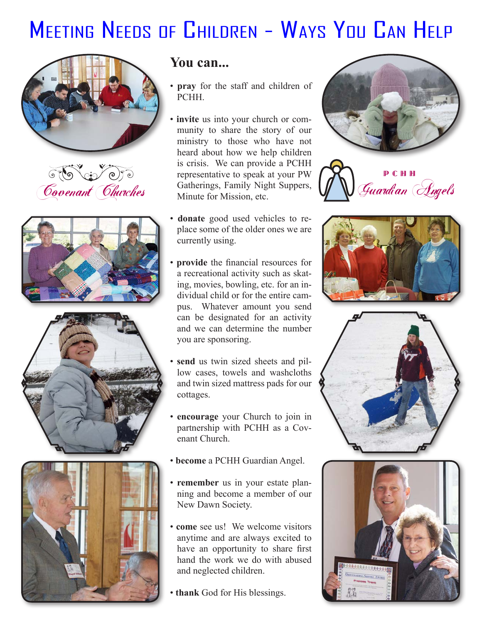# MEETING NEEDS OF CHILDREN - WAYS YOU CAN HELP











### **You can...**

- **pray** for the staff and children of **PCHH**
- **invite** us into your church or community to share the story of our ministry to those who have not heard about how we help children is crisis. We can provide a PCHH representative to speak at your PW Gatherings, Family Night Suppers, Minute for Mission, etc. GESCOVE TRANSISES WE CAN PROVIDE A TUTTING PCHH
	- **donate** good used vehicles to replace some of the older ones we are currently using.
	- **provide** the financial resources for a recreational activity such as skating, movies, bowling, etc. for an individual child or for the entire campus. Whatever amount you send can be designated for an activity and we can determine the number you are sponsoring.
	- **send** us twin sized sheets and pillow cases, towels and washcloths and twin sized mattress pads for our cottages.
	- **encourage** your Church to join in partnership with PCHH as a Covenant Church.
	- **become** a PCHH Guardian Angel.
	- **remember** us in your estate planning and become a member of our New Dawn Society.
	- **come** see us! We welcome visitors anytime and are always excited to have an opportunity to share first hand the work we do with abused and neglected children.
	- **thank** God for His blessings.